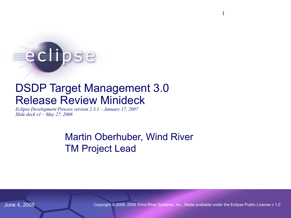# edlipse

#### DSDP Target Management 3.0 Release Review Minideck

*[Eclipse Development Process version 2.3.1 – January 17, 2007](http://www.eclipse.org/projects/slides/TM-IP_log_1.0.csv) Slide deck v1 – May 27, 2008*

> Martin Oberhuber, Wind River TM Project Lead

June 4, 2008 Copyright © 2006, 2008 Wind River Systems, Inc., Made available under the Eclipse Public License v 1.0

1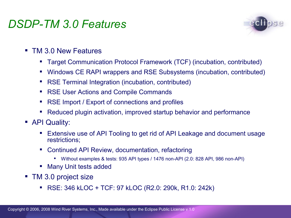### *DSDP-TM 3.0 Features*



- **TM 3.0 New Features** 
	- Target Communication Protocol Framework (TCF) (incubation, contributed)
	- Windows CE RAPI wrappers and RSE Subsystems (incubation, contributed)
	- RSE Terminal Integration (incubation, contributed)
	- RSE User Actions and Compile Commands
	- **RSE Import / Export of connections and profiles**
	- Reduced plugin activation, improved startup behavior and performance
- **API Quality:** 
	- Extensive use of API Tooling to get rid of API Leakage and document usage restrictions;
	- Continued API Review, documentation, refactoring
		- Without examples & tests: 935 API types / 1476 non-API (2.0: 828 API, 986 non-API)
	- Many Unit tests added
- TM 3.0 project size
	- RSE: 346 kLOC + TCF: 97 kLOC (R2.0: 290k, R1.0: 242k)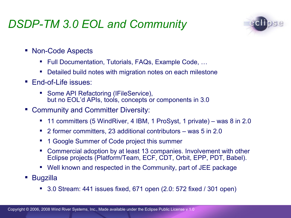## *DSDP-TM 3.0 EOL and Community*



- Non-Code Aspects
	- Full Documentation, Tutorials, FAQs, Example Code, ...
	- Detailed build notes with migration notes on each milestone
- **End-of-Life issues:** 
	- Some API Refactoring (IFileService), but no EOL'd APIs, tools, concepts or components in 3.0
- Community and Committer Diversity:
	- 11 committers (5 WindRiver, 4 IBM, 1 ProSyst, 1 private) was 8 in 2.0
	- 2 former committers, 23 additional contributors was 5 in 2.0
	- 1 Google Summer of Code project this summer
	- Commercial adoption by at least 13 companies. Involvement with other Eclipse projects (Platform/Team, ECF, CDT, Orbit, EPP, PDT, Babel).
	- Well known and respected in the Community, part of JEE package
- Bugzilla
	- 3.0 Stream: 441 issues fixed, 671 open (2.0: 572 fixed / 301 open)